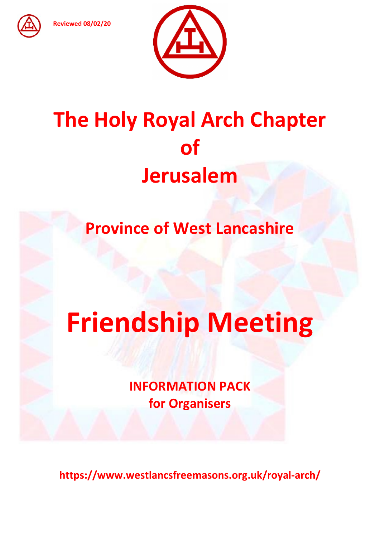Reviewed 08/02/20



# The Holy Royal Arch Chapter of Jerusalem

Province of West Lancashire

# Friendship Meeting

INFORMATION PACK for Organisers

https://www.westlancsfreemasons.org.uk/royal-arch/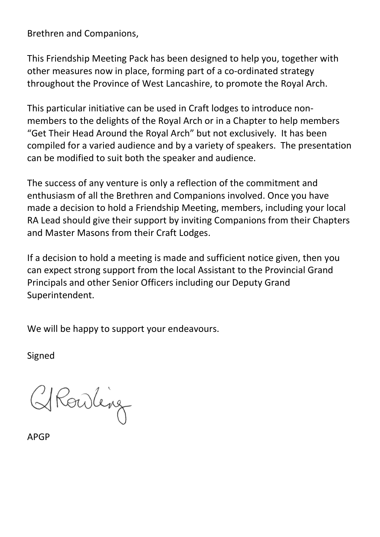Brethren and Companions,

This Friendship Meeting Pack has been designed to help you, together with other measures now in place, forming part of a co-ordinated strategy throughout the Province of West Lancashire, to promote the Royal Arch.

This particular initiative can be used in Craft lodges to introduce nonmembers to the delights of the Royal Arch or in a Chapter to help members "Get Their Head Around the Royal Arch" but not exclusively. It has been compiled for a varied audience and by a variety of speakers. The presentation can be modified to suit both the speaker and audience.

The success of any venture is only a reflection of the commitment and enthusiasm of all the Brethren and Companions involved. Once you have made a decision to hold a Friendship Meeting, members, including your local RA Lead should give their support by inviting Companions from their Chapters and Master Masons from their Craft Lodges.

If a decision to hold a meeting is made and sufficient notice given, then you can expect strong support from the local Assistant to the Provincial Grand Principals and other Senior Officers including our Deputy Grand Superintendent.

We will be happy to support your endeavours.

Signed

Rowling

APGP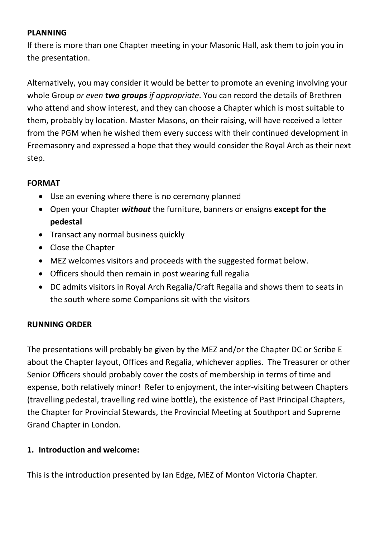### PLANNING

If there is more than one Chapter meeting in your Masonic Hall, ask them to join you in the presentation.

Alternatively, you may consider it would be better to promote an evening involving your whole Group or even two groups if appropriate. You can record the details of Brethren who attend and show interest, and they can choose a Chapter which is most suitable to them, probably by location. Master Masons, on their raising, will have received a letter from the PGM when he wished them every success with their continued development in Freemasonry and expressed a hope that they would consider the Royal Arch as their next step.

# FORMAT

- Use an evening where there is no ceremony planned
- Open your Chapter without the furniture, banners or ensigns except for the pedestal
- Transact any normal business quickly
- Close the Chapter
- MEZ welcomes visitors and proceeds with the suggested format below.
- Officers should then remain in post wearing full regalia
- DC admits visitors in Royal Arch Regalia/Craft Regalia and shows them to seats in the south where some Companions sit with the visitors

# RUNNING ORDER

The presentations will probably be given by the MEZ and/or the Chapter DC or Scribe E about the Chapter layout, Offices and Regalia, whichever applies. The Treasurer or other Senior Officers should probably cover the costs of membership in terms of time and expense, both relatively minor! Refer to enjoyment, the inter-visiting between Chapters (travelling pedestal, travelling red wine bottle), the existence of Past Principal Chapters, the Chapter for Provincial Stewards, the Provincial Meeting at Southport and Supreme Grand Chapter in London.

# 1. Introduction and welcome:

This is the introduction presented by Ian Edge, MEZ of Monton Victoria Chapter.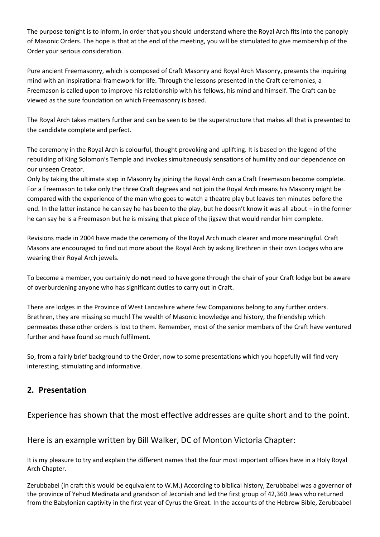The purpose tonight is to inform, in order that you should understand where the Royal Arch fits into the panoply of Masonic Orders. The hope is that at the end of the meeting, you will be stimulated to give membership of the Order your serious consideration.

Pure ancient Freemasonry, which is composed of Craft Masonry and Royal Arch Masonry, presents the inquiring mind with an inspirational framework for life. Through the lessons presented in the Craft ceremonies, a Freemason is called upon to improve his relationship with his fellows, his mind and himself. The Craft can be viewed as the sure foundation on which Freemasonry is based.

The Royal Arch takes matters further and can be seen to be the superstructure that makes all that is presented to the candidate complete and perfect.

The ceremony in the Royal Arch is colourful, thought provoking and uplifting. It is based on the legend of the rebuilding of King Solomon's Temple and invokes simultaneously sensations of humility and our dependence on our unseen Creator.

Only by taking the ultimate step in Masonry by joining the Royal Arch can a Craft Freemason become complete. For a Freemason to take only the three Craft degrees and not join the Royal Arch means his Masonry might be compared with the experience of the man who goes to watch a theatre play but leaves ten minutes before the end. In the latter instance he can say he has been to the play, but he doesn't know it was all about – in the former he can say he is a Freemason but he is missing that piece of the jigsaw that would render him complete.

Revisions made in 2004 have made the ceremony of the Royal Arch much clearer and more meaningful. Craft Masons are encouraged to find out more about the Royal Arch by asking Brethren in their own Lodges who are wearing their Royal Arch jewels.

To become a member, you certainly do not need to have gone through the chair of your Craft lodge but be aware of overburdening anyone who has significant duties to carry out in Craft.

There are lodges in the Province of West Lancashire where few Companions belong to any further orders. Brethren, they are missing so much! The wealth of Masonic knowledge and history, the friendship which permeates these other orders is lost to them. Remember, most of the senior members of the Craft have ventured further and have found so much fulfilment.

So, from a fairly brief background to the Order, now to some presentations which you hopefully will find very interesting, stimulating and informative.

#### 2. Presentation

Experience has shown that the most effective addresses are quite short and to the point.

Here is an example written by Bill Walker, DC of Monton Victoria Chapter:

It is my pleasure to try and explain the different names that the four most important offices have in a Holy Royal Arch Chapter.

Zerubbabel (in craft this would be equivalent to W.M.) According to biblical history, Zerubbabel was a governor of the province of Yehud Medinata and grandson of Jeconiah and led the first group of 42,360 Jews who returned from the Babylonian captivity in the first year of Cyrus the Great. In the accounts of the Hebrew Bible, Zerubbabel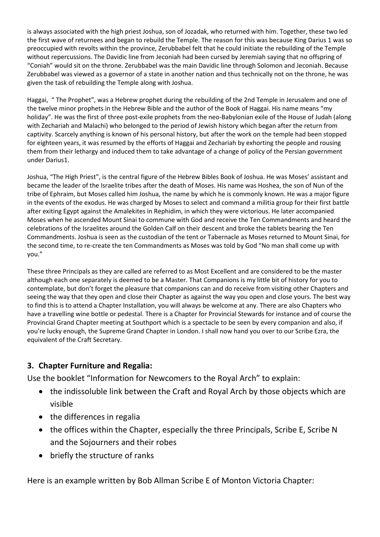is always associated with the high priest Joshua, son of Jozadak, who returned with him. Together, these two led the first wave of returnees and began to rebuild the Temple. The reason for this was because King Darius 1 was so preoccupied with revolts within the province, Zerubbabel felt that he could initiate the rebuilding of the Temple without repercussions. The Davidic line from Jeconiah had been cursed by Jeremiah saying that no offspring of "Coniah" would sit on the throne. Zerubbabel was the main Davidic line through Solomon and Jeconiah. Because Zerubbabel was viewed as a governor of a state in another nation and thus technically not on the throne, he was given the task of rebuilding the Temple along with Joshua.

Haggai, " The Prophet", was a Hebrew prophet during the rebuilding of the 2nd Temple in Jerusalem and one of the twelve minor prophets in the Hebrew Bible and the author of the Book of Haggai. His name means "my holiday". He was the first of three post-exile prophets from the neo-Babylonian exile of the House of Judah (along with Zechariah and Malachi) who belonged to the period of Jewish history which began after the return from captivity. Scarcely anything is known of his personal history, but after the work on the temple had been stopped for eighteen years, it was resumed by the efforts of Haggai and Zechariah by exhorting the people and rousing them from their lethargy and induced them to take advantage of a change of policy of the Persian government under Darius1.

Joshua, "The High Priest", is the central figure of the Hebrew Bibles Book of Joshua. He was Moses' assistant and became the leader of the Israelite tribes after the death of Moses. His name was Hoshea, the son of Nun of the tribe of Ephraim, but Moses called him Joshua, the name by which he is commonly known. He was a major figure in the events of the exodus. He was charged by Moses to select and command a militia group for their first battle after exiting Egypt against the Amalekites in Rephidim, in which they were victorious. He later accompanied Moses when he ascended Mount Sinai to commune with God and receive the Ten Commandments and heard the celebrations of the Israelites around the Golden Calf on their descent and broke the tablets bearing the Ten Commandments. Joshua is seen as the custodian of the tent or Tabernacle as Moses returned to Mount Sinai, for the second time, to re-create the ten Commandments as Moses was told by God "No man shall come up with you."

These three Principals as they are called are referred to as Most Excellent and are considered to be the master although each one separately is deemed to be a Master. That Companions is my little bit of history for you to contemplate, but don't forget the pleasure that companions can and do receive from visiting other Chapters and seeing the way that they open and close their Chapter as against the way you open and close yours. The best way to find this is to attend a Chapter Installation, you will always be welcome at any. There are also Chapters who have a travelling wine bottle or pedestal. There is a Chapter for Provincial Stewards for instance and of course the Provincial Grand Chapter meeting at Southport which is a spectacle to be seen by every companion and also, if you're lucky enough, the Supreme Grand Chapter in London. I shall now hand you over to our Scribe Ezra, the equivalent of the Craft Secretary.

#### 3. Chapter Furniture and Regalia:

Use the booklet "Information for Newcomers to the Royal Arch" to explain:

- the indissoluble link between the Craft and Royal Arch by those objects which are visible
- $\bullet$  the differences in regalia
- the offices within the Chapter, especially the three Principals, Scribe E, Scribe N and the Sojourners and their robes
- briefly the structure of ranks

Here is an example written by Bob Allman Scribe E of Monton Victoria Chapter: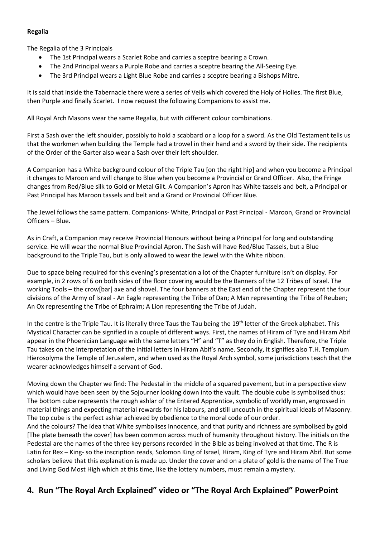#### Regalia

The Regalia of the 3 Principals

- The 1st Principal wears a Scarlet Robe and carries a sceptre bearing a Crown.
- The 2nd Principal wears a Purple Robe and carries a sceptre bearing the All-Seeing Eye.
- The 3rd Principal wears a Light Blue Robe and carries a sceptre bearing a Bishops Mitre.

It is said that inside the Tabernacle there were a series of Veils which covered the Holy of Holies. The first Blue, then Purple and finally Scarlet. I now request the following Companions to assist me.

All Royal Arch Masons wear the same Regalia, but with different colour combinations.

First a Sash over the left shoulder, possibly to hold a scabbard or a loop for a sword. As the Old Testament tells us that the workmen when building the Temple had a trowel in their hand and a sword by their side. The recipients of the Order of the Garter also wear a Sash over their left shoulder.

A Companion has a White background colour of the Triple Tau [on the right hip] and when you become a Principal it changes to Maroon and will change to Blue when you become a Provincial or Grand Officer. Also, the Fringe changes from Red/Blue silk to Gold or Metal Gilt. A Companion's Apron has White tassels and belt, a Principal or Past Principal has Maroon tassels and belt and a Grand or Provincial Officer Blue.

The Jewel follows the same pattern. Companions- White, Principal or Past Principal - Maroon, Grand or Provincial Officers – Blue.

As in Craft, a Companion may receive Provincial Honours without being a Principal for long and outstanding service. He will wear the normal Blue Provincial Apron. The Sash will have Red/Blue Tassels, but a Blue background to the Triple Tau, but is only allowed to wear the Jewel with the White ribbon.

Due to space being required for this evening's presentation a lot of the Chapter furniture isn't on display. For example, in 2 rows of 6 on both sides of the floor covering would be the Banners of the 12 Tribes of Israel. The working Tools – the crow[bar] axe and shovel. The four banners at the East end of the Chapter represent the four divisions of the Army of Israel - An Eagle representing the Tribe of Dan; A Man representing the Tribe of Reuben; An Ox representing the Tribe of Ephraim; A Lion representing the Tribe of Judah.

In the centre is the Triple Tau. It is literally three Taus the Tau being the 19<sup>th</sup> letter of the Greek alphabet. This Mystical Character can be signified in a couple of different ways. First, the names of Hiram of Tyre and Hiram Abif appear in the Phoenician Language with the same letters "H" and "T" as they do in English. Therefore, the Triple Tau takes on the interpretation of the initial letters in Hiram Abif's name. Secondly, it signifies also T.H. Templum Hierosolyma the Temple of Jerusalem, and when used as the Royal Arch symbol, some jurisdictions teach that the wearer acknowledges himself a servant of God.

Moving down the Chapter we find: The Pedestal in the middle of a squared pavement, but in a perspective view which would have been seen by the Sojourner looking down into the vault. The double cube is symbolised thus: The bottom cube represents the rough ashlar of the Entered Apprentice, symbolic of worldly man, engrossed in material things and expecting material rewards for his labours, and still uncouth in the spiritual ideals of Masonry. The top cube is the perfect ashlar achieved by obedience to the moral code of our order.

And the colours? The idea that White symbolises innocence, and that purity and richness are symbolised by gold [The plate beneath the cover] has been common across much of humanity throughout history. The initials on the Pedestal are the names of the three key persons recorded in the Bible as being involved at that time. The R is Latin for Rex – King- so the inscription reads, Solomon King of Israel, Hiram, King of Tyre and Hiram Abif. But some scholars believe that this explanation is made up. Under the cover and on a plate of gold is the name of The True and Living God Most High which at this time, like the lottery numbers, must remain a mystery.

#### 4. Run "The Royal Arch Explained" video or "The Royal Arch Explained" PowerPoint